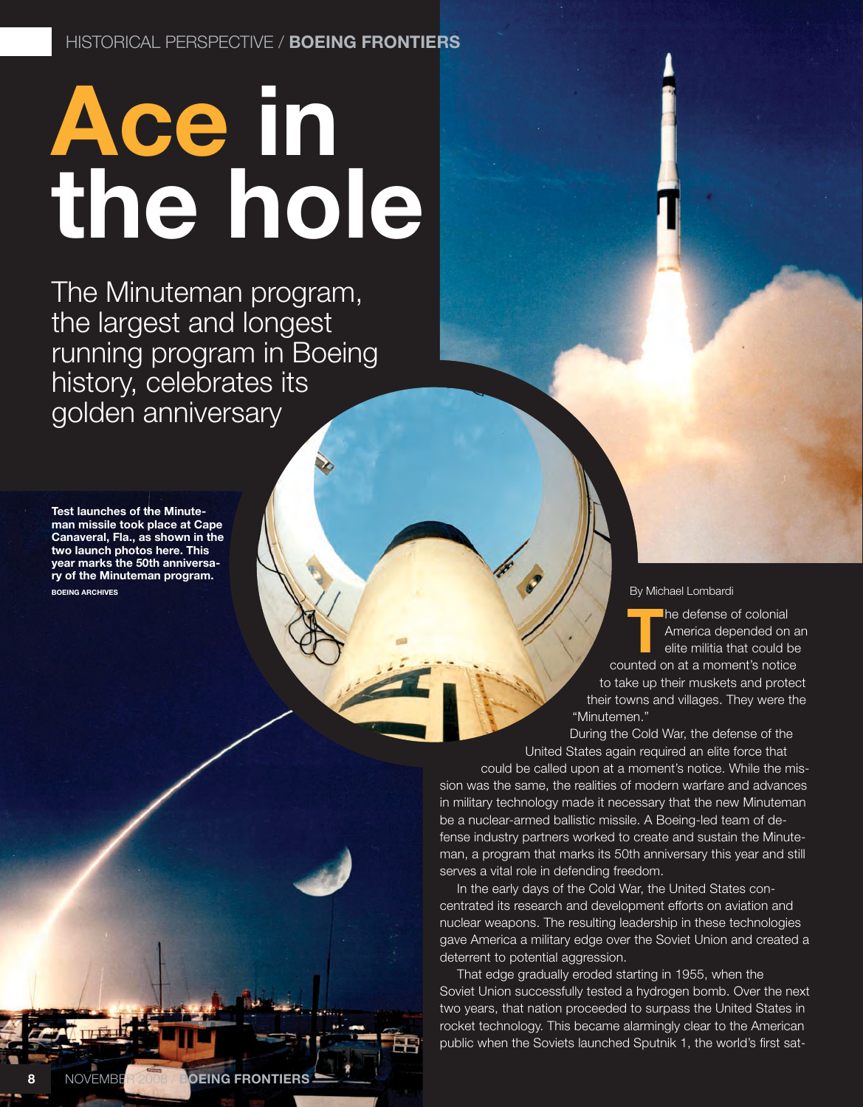## **Ace in the hole**

The Minuteman program, the largest and longest running program in Boeing history, celebrates its golden anniversary

**Test launches of the Minuteman missile took place at Cape Canaveral, Fla., as shown in the two launch photos here. This year marks the 50th anniversary of the Minuteman program. Boeing archives**

## By Michael Lombardi

**The defense of colonial<br>America depended on<br>elite militia that could b** America depended on an elite militia that could be counted on at a moment's notice to take up their muskets and protect their towns and villages. They were the "Minutemen."

During the Cold War, the defense of the United States again required an elite force that

could be called upon at a moment's notice. While the mission was the same, the realities of modern warfare and advances in military technology made it necessary that the new Minuteman be a nuclear-armed ballistic missile. A Boeing-led team of defense industry partners worked to create and sustain the Minuteman, a program that marks its 50th anniversary this year and still serves a vital role in defending freedom.

In the early days of the Cold War, the United States concentrated its research and development efforts on aviation and nuclear weapons. The resulting leadership in these technologies gave America a military edge over the Soviet Union and created a deterrent to potential aggression.

That edge gradually eroded starting in 1955, when the Soviet Union successfully tested a hydrogen bomb. Over the next two years, that nation proceeded to surpass the United States in rocket technology. This became alarmingly clear to the American public when the Soviets launched Sputnik 1, the world's first sat-